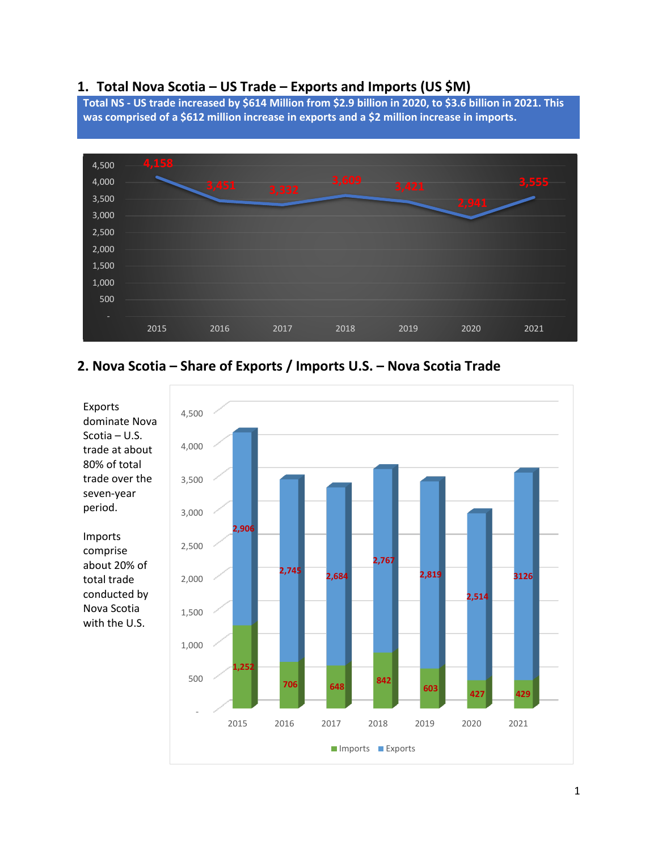#### **1. Total Nova Scotia – US Trade – Exports and Imports (US \$M)**

**Total NS - US trade increased by \$614 Million from \$2.9 billion in 2020, to \$3.6 billion in 2021. This was comprised of a \$612 million increase in exports and a \$2 million increase in imports.** 



**2. Nova Scotia – Share of Exports / Imports U.S. – Nova Scotia Trade**

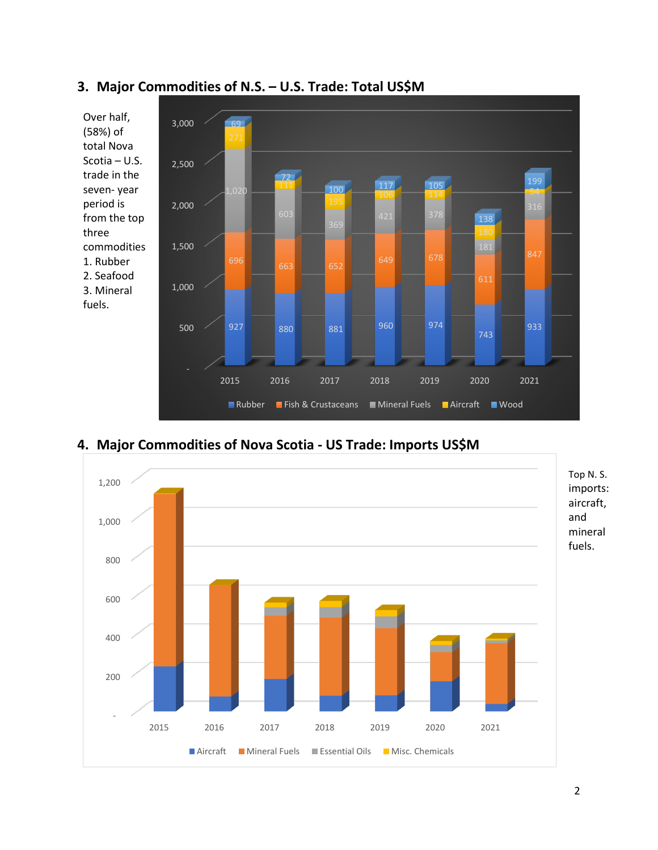

## **3. Major Commodities of N.S. – U.S. Trade: Total US\$M**

**4. Major Commodities of Nova Scotia - US Trade: Imports US\$M**

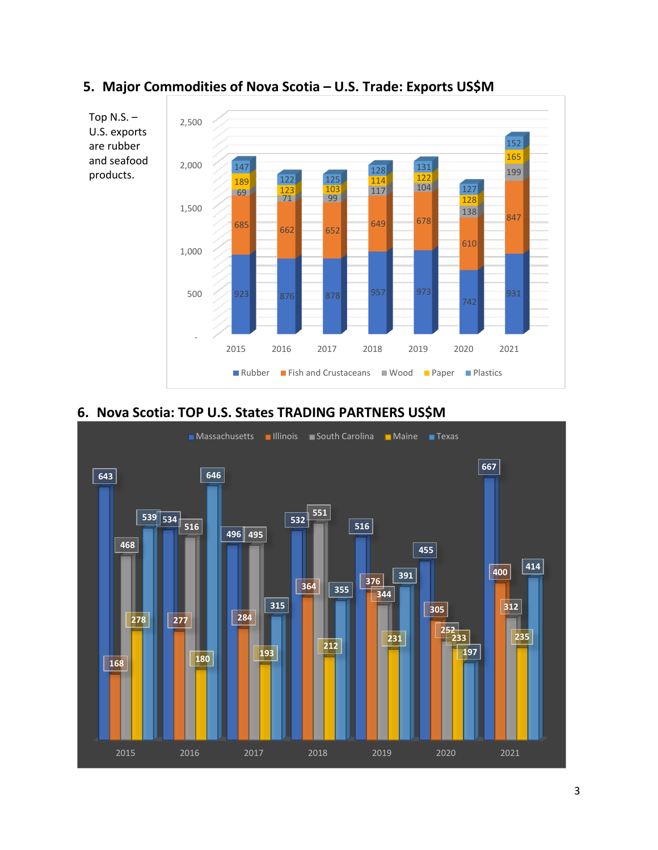

### **5. Major Commodities of Nova Scotia – U.S. Trade: Exports US\$M**

### **6. Nova Scotia: TOP U.S. States TRADING PARTNERS US\$M**

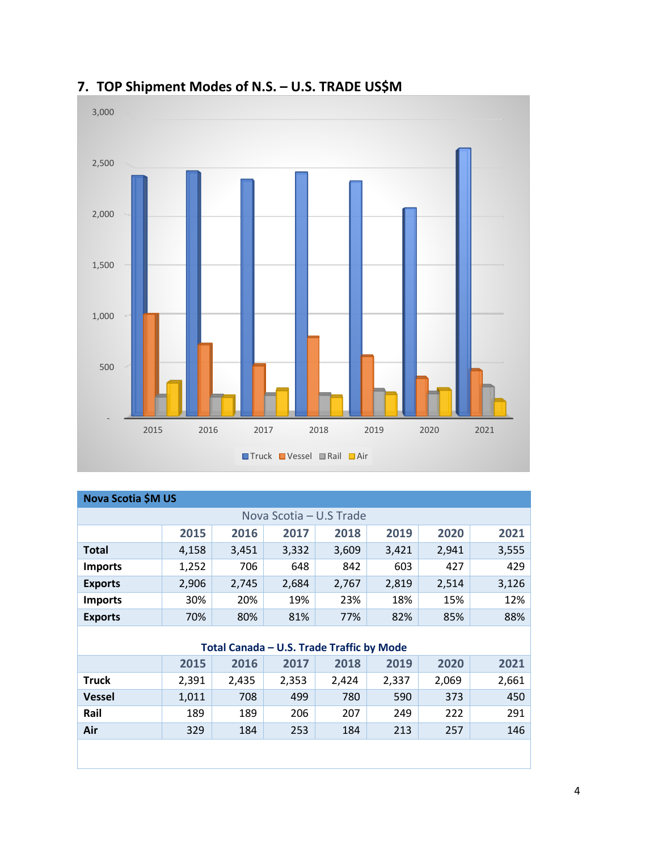

# **7. TOP Shipment Modes of N.S. – U.S. TRADE US\$M**

| <b>Nova Scotia \$M US</b>                 |       |       |       |       |       |       |       |  |  |  |  |  |
|-------------------------------------------|-------|-------|-------|-------|-------|-------|-------|--|--|--|--|--|
| Nova Scotia - U.S Trade                   |       |       |       |       |       |       |       |  |  |  |  |  |
|                                           | 2015  | 2016  | 2017  | 2018  | 2019  | 2020  | 2021  |  |  |  |  |  |
| <b>Total</b>                              | 4,158 | 3,451 | 3,332 | 3,609 | 3,421 | 2,941 | 3,555 |  |  |  |  |  |
| <b>Imports</b>                            | 1,252 | 706   | 648   | 842   | 603   | 427   | 429   |  |  |  |  |  |
| <b>Exports</b>                            | 2,906 | 2,745 | 2,684 | 2,767 | 2,819 | 2,514 | 3,126 |  |  |  |  |  |
| <b>Imports</b>                            | 30%   | 20%   | 19%   | 23%   | 18%   | 15%   | 12%   |  |  |  |  |  |
| <b>Exports</b>                            | 70%   | 80%   | 81%   | 77%   | 82%   | 85%   | 88%   |  |  |  |  |  |
| Total Canada - U.S. Trade Traffic by Mode |       |       |       |       |       |       |       |  |  |  |  |  |
|                                           | 2015  | 2016  | 2017  | 2018  | 2019  | 2020  | 2021  |  |  |  |  |  |
| <b>Truck</b>                              | 2,391 | 2,435 | 2,353 | 2,424 | 2,337 | 2,069 | 2,661 |  |  |  |  |  |
| <b>Vessel</b>                             | 1,011 | 708   | 499   | 780   | 590   | 373   | 450   |  |  |  |  |  |
| Rail                                      | 189   | 189   | 206   | 207   | 249   | 222   | 291   |  |  |  |  |  |
| Air                                       | 329   | 184   | 253   | 184   | 213   | 257   | 146   |  |  |  |  |  |
|                                           |       |       |       |       |       |       |       |  |  |  |  |  |
|                                           |       |       |       |       |       |       |       |  |  |  |  |  |